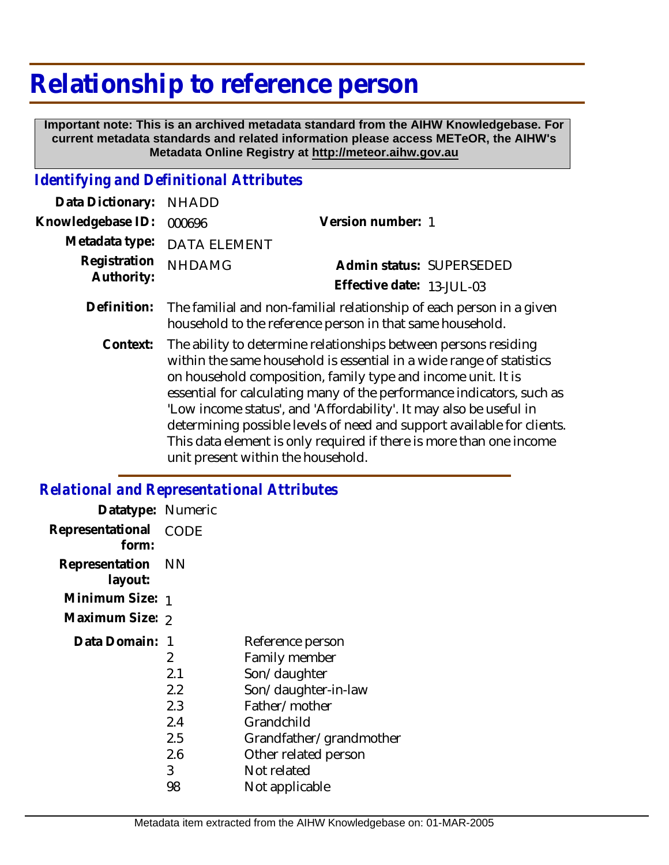# **Relationship to reference person**

 **Important note: This is an archived metadata standard from the AIHW Knowledgebase. For current metadata standards and related information please access METeOR, the AIHW's Metadata Online Registry at http://meteor.aihw.gov.au**

#### *Identifying and Definitional Attributes*

| Data Dictionary: NHADD            |                                                                                  |                           |                          |
|-----------------------------------|----------------------------------------------------------------------------------|---------------------------|--------------------------|
| Knowledgebase ID: 000696          |                                                                                  | Version number: 1         |                          |
|                                   | Metadata type: DATA ELEMENT                                                      |                           |                          |
| Registration NHDAMG<br>Authority: |                                                                                  |                           | Admin status: SUPERSEDED |
|                                   |                                                                                  | Effective date: 13-JUL-03 |                          |
|                                   | Definition: The familial and non-familial relationship of each person in a given |                           |                          |

The ability to determine relationships between persons residing within the same household is essential in a wide range of statistics on household composition, family type and income unit. It is essential for calculating many of the performance indicators, such as 'Low income status', and 'Affordability'. It may also be useful in determining possible levels of need and support available for clients. This data element is only required if there is more than one income unit present within the household. **Context:**

household to the reference person in that same household.

## *Relational and Representational Attributes*

| Datatype: Numeric |             |                         |
|-------------------|-------------|-------------------------|
| Representational  | <b>CODE</b> |                         |
| form:             |             |                         |
| Representation    | - NN        |                         |
| layout:           |             |                         |
| Minimum Size: 1   |             |                         |
| Maximum Size: 2   |             |                         |
| Data Domain: 1    |             | Reference person        |
|                   | 2           | Family member           |
|                   | 2.1         | Son/daughter            |
|                   | 2.2         | Son/daughter-in-law     |
|                   | 2.3         | Father/mother           |
|                   | 2.4         | Grandchild              |
|                   | 2.5         | Grandfather/grandmother |
|                   | 2.6         | Other related person    |
|                   | 3           | Not related             |
|                   | 98          | Not applicable          |